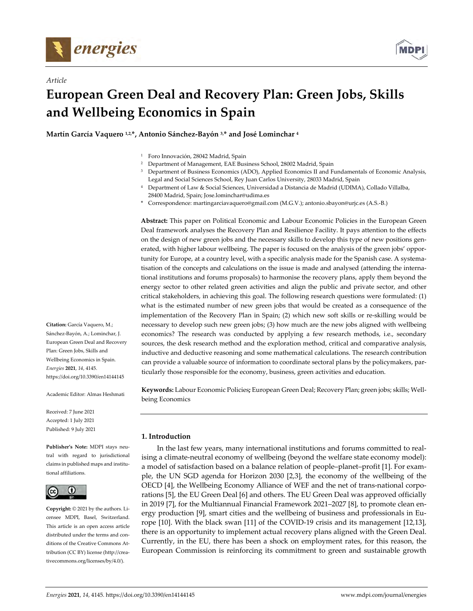

*Article*



# **European Green Deal and Recovery Plan: Green Jobs, Skills and Wellbeing Economics in Spain**

**Martín García Vaquero 1,2,\*, Antonio Sánchez‐Bayón 3,\* and José Lominchar <sup>4</sup>**

- <sup>1</sup> Foro Innovación, 28042 Madrid, Spain
- <sup>2</sup> Department of Management, EAE Business School, 28002 Madrid, Spain
- <sup>3</sup> Department of Business Economics (ADO), Applied Economics II and Fundamentals of Economic Analysis, Legal and Social Sciences School, Rey Juan Carlos University, 28033 Madrid, Spain
- <sup>4</sup> Department of Law & Social Sciences, Universidad a Distancia de Madrid (UDIMA), Collado Villalba, 28400 Madrid, Spain; Jose.lominchar@udima.es
- \* Correspondence: martingarciavaquero@gmail.com (M.G.V.); antonio.sbayon@urjc.es (A.S.‐B.)

**Abstract:** This paper on Political Economic and Labour Economic Policies in the European Green Deal framework analyses the Recovery Plan and Resilience Facility. It pays attention to the effects on the design of new green jobs and the necessary skills to develop this type of new positions generated, with higher labour wellbeing. The paper is focused on the analysis of the green jobs' opportunity for Europe, at a country level, with a specific analysis made for the Spanish case. A systematisation of the concepts and calculations on the issue is made and analysed (attending the interna‐ tional institutions and forums proposals) to harmonise the recovery plans, apply them beyond the energy sector to other related green activities and align the public and private sector, and other critical stakeholders, in achieving this goal. The following research questions were formulated: (1) what is the estimated number of new green jobs that would be created as a consequence of the implementation of the Recovery Plan in Spain; (2) which new soft skills or re-skilling would be necessary to develop such new green jobs; (3) how much are the new jobs aligned with wellbeing economics? The research was conducted by applying a few research methods, i.e., secondary sources, the desk research method and the exploration method, critical and comparative analysis, inductive and deductive reasoning and some mathematical calculations. The research contribution can provide a valuable source of information to coordinate sectoral plans by the policymakers, par‐ ticularly those responsible for the economy, business, green activities and education.

**Keywords:** Labour Economic Policies**;** European Green Deal; Recovery Plan; green jobs; skills; Well‐ being Economics

### **1. Introduction**

In the last few years, many international institutions and forums committed to real‐ ising a climate‐neutral economy of wellbeing (beyond the welfare state economy model): a model of satisfaction based on a balance relation of people–planet–profit [1]. For exam‐ ple, the UN SGD agenda for Horizon 2030 [2,3], the economy of the wellbeing of the OECD [4], the Wellbeing Economy Alliance of WEF and the net of trans-national corporations [5], the EU Green Deal [6] and others. The EU Green Deal was approved officially in 2019 [7], for the Multiannual Financial Framework 2021–2027 [8], to promote clean en‐ ergy production [9], smart cities and the wellbeing of business and professionals in Europe [10]. With the black swan [11] of the COVID‐19 crisis and its management [12,13], there is an opportunity to implement actual recovery plans aligned with the Green Deal. Currently, in the EU, there has been a shock on employment rates, for this reason, the European Commission is reinforcing its commitment to green and sustainable growth

**Citation:** García Vaquero, M.; Sánchez‐Bayón, A.; Lominchar, J. European Green Deal and Recovery Plan: Green Jobs, Skills and Wellbeing Economics in Spain. *Energies* **2021**, *14*, 4145. https://doi.org/10.3390/en14144145

Academic Editor: Almas Heshmati

Received: 7 June 2021 Accepted: 1 July 2021 Published: 9 July 2021

**Publisher's Note:** MDPI stays neu‐ tral with regard to jurisdictional claims in published maps and institu‐ tional affiliations.



**Copyright:** © 2021 by the authors. Li‐ censee MDPI, Basel, Switzerland. This article is an open access article distributed under the terms and conditions of the Creative Commons At‐ tribution (CC BY) license (http://crea‐ tivecommons.org/licenses/by/4.0/).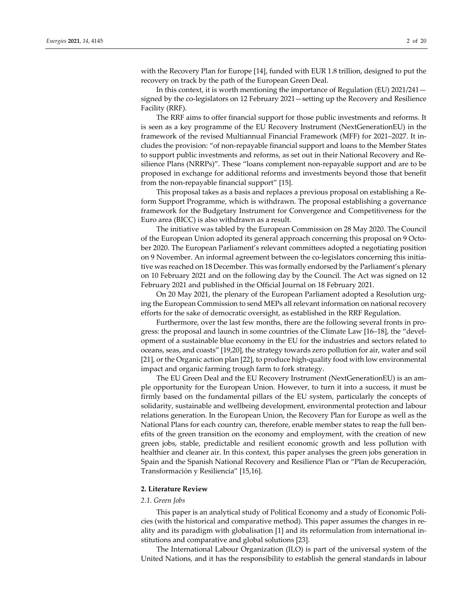with the Recovery Plan for Europe [14], funded with EUR 1.8 trillion, designed to put the recovery on track by the path of the European Green Deal.

In this context, it is worth mentioning the importance of Regulation (EU) 2021/241 signed by the co-legislators on 12 February 2021—setting up the Recovery and Resilience Facility (RRF).

The RRF aims to offer financial support for those public investments and reforms. It is seen as a key programme of the EU Recovery Instrument (NextGenerationEU) in the framework of the revised Multiannual Financial Framework (MFF) for 2021–2027. It in‐ cludes the provision: "of non‐repayable financial support and loans to the Member States to support public investments and reforms, as set out in their National Recovery and Re‐ silience Plans (NRRPs)". These "loans complement non-repayable support and are to be proposed in exchange for additional reforms and investments beyond those that benefit from the non-repayable financial support" [15].

This proposal takes as a basis and replaces a previous proposal on establishing a Re‐ form Support Programme, which is withdrawn. The proposal establishing a governance framework for the Budgetary Instrument for Convergence and Competitiveness for the Euro area (BICC) is also withdrawn as a result.

The initiative was tabled by the European Commission on 28 May 2020. The Council of the European Union adopted its general approach concerning this proposal on 9 October 2020. The European Parliament's relevant committees adopted a negotiating position on 9 November. An informal agreement between the co-legislators concerning this initiative was reached on 18 December. This was formally endorsed by the Parliament's plenary on 10 February 2021 and on the following day by the Council. The Act was signed on 12 February 2021 and published in the Official Journal on 18 February 2021.

On 20 May 2021, the plenary of the European Parliament adopted a Resolution urg‐ ing the European Commission to send MEPs all relevant information on national recovery efforts for the sake of democratic oversight, as established in the RRF Regulation.

Furthermore, over the last few months, there are the following several fronts in pro‐ gress: the proposal and launch in some countries of the Climate Law [16–18], the "development of a sustainable blue economy in the EU for the industries and sectors related to oceans, seas, and coasts" [19,20], the strategy towards zero pollution for air, water and soil [21], or the Organic action plan [22], to produce high-quality food with low environmental impact and organic farming trough farm to fork strategy.

The EU Green Deal and the EU Recovery Instrument (NextGenerationEU) is an am‐ ple opportunity for the European Union. However, to turn it into a success, it must be firmly based on the fundamental pillars of the EU system, particularly the concepts of solidarity, sustainable and wellbeing development, environmental protection and labour relations generation. In the European Union, the Recovery Plan for Europe as well as the National Plans for each country can, therefore, enable member states to reap the full ben‐ efits of the green transition on the economy and employment, with the creation of new green jobs, stable, predictable and resilient economic growth and less pollution with healthier and cleaner air. In this context, this paper analyses the green jobs generation in Spain and the Spanish National Recovery and Resilience Plan or "Plan de Recuperación, Transformación y Resiliencia" [15,16].

#### **2. Literature Review**

#### *2.1. Green Jobs*

This paper is an analytical study of Political Economy and a study of Economic Poli‐ cies (with the historical and comparative method). This paper assumes the changes in re‐ ality and its paradigm with globalisation [1] and its reformulation from international in‐ stitutions and comparative and global solutions [23].

The International Labour Organization (ILO) is part of the universal system of the United Nations, and it has the responsibility to establish the general standards in labour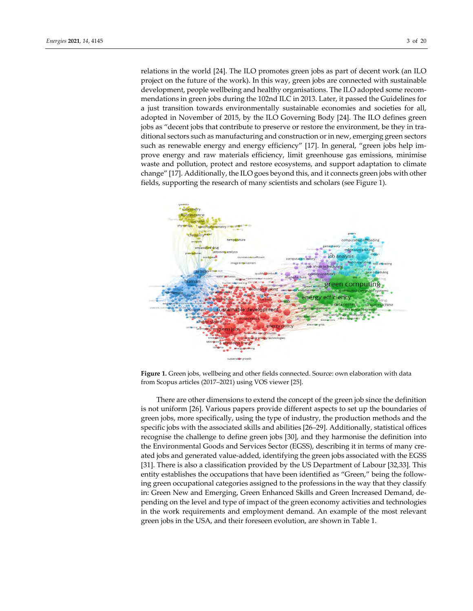relations in the world [24]. The ILO promotes green jobs as part of decent work (an ILO project on the future of the work). In this way, green jobs are connected with sustainable development, people wellbeing and healthy organisations. The ILO adopted some recom‐ mendations in green jobs during the 102nd ILC in 2013. Later, it passed the Guidelines for a just transition towards environmentally sustainable economies and societies for all, adopted in November of 2015, by the ILO Governing Body [24]. The ILO defines green jobs as "decent jobs that contribute to preserve or restore the environment, be they in traditional sectors such as manufacturing and construction or in new, emerging green sectors such as renewable energy and energy efficiency" [17]. In general, "green jobs help improve energy and raw materials efficiency, limit greenhouse gas emissions, minimise waste and pollution, protect and restore ecosystems, and support adaptation to climate change" [17]. Additionally, the ILO goes beyond this, and it connects green jobs with other fields, supporting the research of many scientists and scholars (see Figure 1).



**Figure 1.** Green jobs, wellbeing and other fields connected. Source: own elaboration with data from Scopus articles (2017–2021) using VOS viewer [25].

There are other dimensions to extend the concept of the green job since the definition is not uniform [26]. Various papers provide different aspects to set up the boundaries of green jobs, more specifically, using the type of industry, the production methods and the specific jobs with the associated skills and abilities [26–29]. Additionally, statistical offices recognise the challenge to define green jobs [30], and they harmonise the definition into the Environmental Goods and Services Sector (EGSS), describing it in terms of many cre‐ ated jobs and generated value‐added, identifying the green jobs associated with the EGSS [31]. There is also a classification provided by the US Department of Labour [32,33]. This entity establishes the occupations that have been identified as "Green," being the following green occupational categories assigned to the professions in the way that they classify in: Green New and Emerging, Green Enhanced Skills and Green Increased Demand, de‐ pending on the level and type of impact of the green economy activities and technologies in the work requirements and employment demand. An example of the most relevant green jobs in the USA, and their foreseen evolution, are shown in Table 1.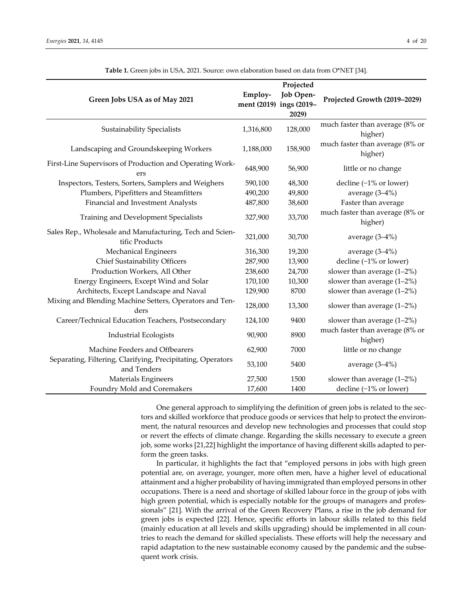| Green Jobs USA as of May 2021                                              | Employ-<br>ment (2019) ings (2019- | Projected<br>Job Open-<br>2029) | Projected Growth (2019-2029)               |
|----------------------------------------------------------------------------|------------------------------------|---------------------------------|--------------------------------------------|
| <b>Sustainability Specialists</b>                                          | 1,316,800                          | 128,000                         | much faster than average (8% or<br>higher) |
| Landscaping and Groundskeeping Workers                                     | 1,188,000                          | 158,900                         | much faster than average (8% or<br>higher) |
| First-Line Supervisors of Production and Operating Work-<br>ers            | 648,900                            | 56,900                          | little or no change                        |
| Inspectors, Testers, Sorters, Samplers and Weighers                        | 590,100                            | 48,300                          | decline $(-1)$ % or lower)                 |
| Plumbers, Pipefitters and Steamfitters                                     | 490,200                            | 49,800                          | average $(3-4%)$                           |
| Financial and Investment Analysts                                          | 487,800                            | 38,600                          | Faster than average                        |
| Training and Development Specialists                                       | 327,900                            | 33,700                          | much faster than average (8% or<br>higher) |
| Sales Rep., Wholesale and Manufacturing, Tech and Scien-<br>tific Products | 321,000                            | 30,700                          | average $(3-4%)$                           |
| <b>Mechanical Engineers</b>                                                | 316,300                            | 19,200                          | average (3-4%)                             |
| Chief Sustainability Officers                                              | 287,900                            | 13,900                          | decline $(-1%$ or lower)                   |
| Production Workers, All Other                                              | 238,600                            | 24,700                          | slower than average $(1-2\%)$              |
| Energy Engineers, Except Wind and Solar                                    | 170,100                            | 10,300                          | slower than average $(1-2\%)$              |
| Architects, Except Landscape and Naval                                     | 129,900                            | 8700                            | slower than average $(1-2\%)$              |
| Mixing and Blending Machine Setters, Operators and Ten-<br>ders            | 128,000                            | 13,300                          | slower than average $(1-2\%)$              |
| Career/Technical Education Teachers, Postsecondary                         | 124,100                            | 9400                            | slower than average (1-2%)                 |
| <b>Industrial Ecologists</b>                                               | 90,900                             | 8900                            | much faster than average (8% or<br>higher) |
| Machine Feeders and Offbearers                                             | 62,900                             | 7000                            | little or no change                        |
| Separating, Filtering, Clarifying, Precipitating, Operators<br>and Tenders | 53,100                             | 5400                            | average (3-4%)                             |
| Materials Engineers                                                        | 27,500                             | 1500                            | slower than average $(1-2\%)$              |
| Foundry Mold and Coremakers                                                | 17,600                             | 1400                            | decline $(-1%$ or lower)                   |

**Table 1.** Green jobs in USA, 2021. Source: own elaboration based on data from O\*NET [34].

One general approach to simplifying the definition of green jobs is related to the sectors and skilled workforce that produce goods or services that help to protect the environment, the natural resources and develop new technologies and processes that could stop or revert the effects of climate change. Regarding the skills necessary to execute a green job, some works [21,22] highlight the importance of having different skills adapted to per‐ form the green tasks.

In particular, it highlights the fact that "employed persons in jobs with high green potential are, on average, younger, more often men, have a higher level of educational attainment and a higher probability of having immigrated than employed persons in other occupations. There is a need and shortage of skilled labour force in the group of jobs with high green potential, which is especially notable for the groups of managers and professionals" [21]. With the arrival of the Green Recovery Plans, a rise in the job demand for green jobs is expected [22]. Hence, specific efforts in labour skills related to this field (mainly education at all levels and skills upgrading) should be implemented in all coun‐ tries to reach the demand for skilled specialists. These efforts will help the necessary and rapid adaptation to the new sustainable economy caused by the pandemic and the subsequent work crisis.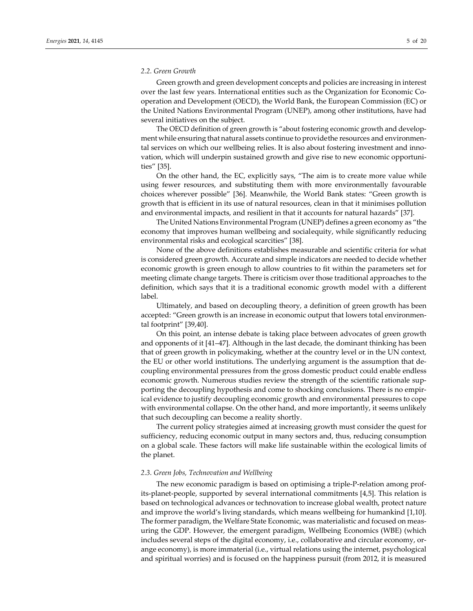### *2.2. Green Growth*

Green growth and green development concepts and policies are increasing in interest over the last few years. International entities such as the Organization for Economic Co‐ operation and Development (OECD), the World Bank, the European Commission (EC) or the United Nations Environmental Program (UNEP), among other institutions, have had several initiatives on the subject.

The OECD definition of green growth is "about fostering economic growth and development while ensuring that natural assets continue to provide the resources and environmental services on which our wellbeing relies. It is also about fostering investment and innovation, which will underpin sustained growth and give rise to new economic opportuni‐ ties" [35].

On the other hand, the EC, explicitly says, "The aim is to create more value while using fewer resources, and substituting them with more environmentally favourable choices wherever possible" [36]. Meanwhile, the World Bank states: "Green growth is growth that is efficient in its use of natural resources, clean in that it minimises pollution and environmental impacts, and resilient in that it accounts for natural hazards" [37].

The United Nations Environmental Program (UNEP) defines a green economy as "the economy that improves human wellbeing and socialequity, while significantly reducing environmental risks and ecological scarcities" [38].

None of the above definitions establishes measurable and scientific criteria for what is considered green growth. Accurate and simple indicators are needed to decide whether economic growth is green enough to allow countries to fit within the parameters set for meeting climate change targets. There is criticism over those traditional approaches to the definition, which says that it is a traditional economic growth model with a different label.

Ultimately, and based on decoupling theory, a definition of green growth has been accepted: "Green growth is an increase in economic output that lowers total environmen‐ tal footprint" [39,40].

On this point, an intense debate is taking place between advocates of green growth and opponents of it [41–47]. Although in the last decade, the dominant thinking has been that of green growth in policymaking, whether at the country level or in the UN context, the EU or other world institutions. The underlying argument is the assumption that de‐ coupling environmental pressures from the gross domestic product could enable endless economic growth. Numerous studies review the strength of the scientific rationale sup‐ porting the decoupling hypothesis and come to shocking conclusions. There is no empirical evidence to justify decoupling economic growth and environmental pressures to cope with environmental collapse. On the other hand, and more importantly, it seems unlikely that such decoupling can become a reality shortly.

The current policy strategies aimed at increasing growth must consider the quest for sufficiency, reducing economic output in many sectors and, thus, reducing consumption on a global scale. These factors will make life sustainable within the ecological limits of the planet.

#### *2.3. Green Jobs, Technovation and Wellbeing*

The new economic paradigm is based on optimising a triple‐P‐relation among prof‐ its‐planet‐people, supported by several international commitments [4,5]. This relation is based on technological advances or technovation to increase global wealth, protect nature and improve the world's living standards, which means wellbeing for humankind [1,10]. The former paradigm, the Welfare State Economic, was materialistic and focused on meas‐ uring the GDP. However, the emergent paradigm, Wellbeing Economics (WBE) (which includes several steps of the digital economy, i.e., collaborative and circular economy, orange economy), is more immaterial (i.e., virtual relations using the internet, psychological and spiritual worries) and is focused on the happiness pursuit (from 2012, it is measured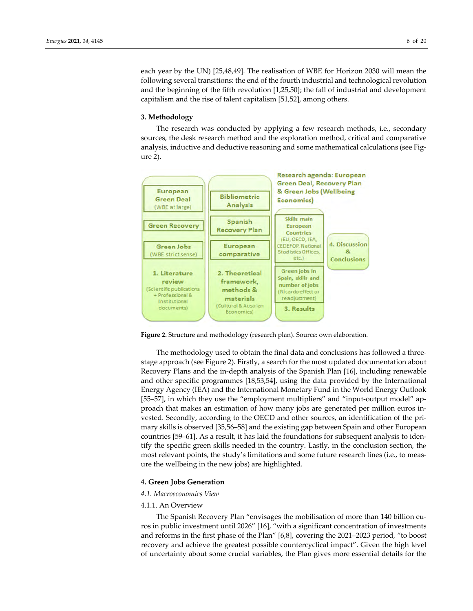each year by the UN) [25,48,49]. The realisation of WBE for Horizon 2030 will mean the following several transitions: the end of the fourth industrial and technological revolution and the beginning of the fifth revolution [1,25,50]; the fall of industrial and development capitalism and the rise of talent capitalism [51,52], among others.

#### **3. Methodology**

The research was conducted by applying a few research methods, i.e., secondary sources, the desk research method and the exploration method, critical and comparative analysis, inductive and deductive reasoning and some mathematical calculations (see Fig‐ ure 2).



**Figure 2.** Structure and methodology (research plan). Source: own elaboration.

The methodology used to obtain the final data and conclusions has followed a three‐ stage approach (see Figure 2). Firstly, a search for the most updated documentation about Recovery Plans and the in‐depth analysis of the Spanish Plan [16], including renewable and other specific programmes [18,53,54], using the data provided by the International Energy Agency (IEA) and the International Monetary Fund in the World Energy Outlook [55–57], in which they use the "employment multipliers" and "input-output model" approach that makes an estimation of how many jobs are generated per million euros in‐ vested. Secondly, according to the OECD and other sources, an identification of the pri‐ mary skills is observed [35,56–58] and the existing gap between Spain and other European countries [59–61]. As a result, it has laid the foundations for subsequent analysis to identify the specific green skills needed in the country. Lastly, in the conclusion section, the most relevant points, the study's limitations and some future research lines (i.e., to measure the wellbeing in the new jobs) are highlighted.

#### **4. Green Jobs Generation**

### *4.1. Macroeconomics View*

#### 4.1.1. An Overview

The Spanish Recovery Plan "envisages the mobilisation of more than 140 billion eu‐ ros in public investment until 2026" [16], "with a significant concentration of investments and reforms in the first phase of the Plan" [6,8], covering the 2021–2023 period, "to boost recovery and achieve the greatest possible countercyclical impact". Given the high level of uncertainty about some crucial variables, the Plan gives more essential details for the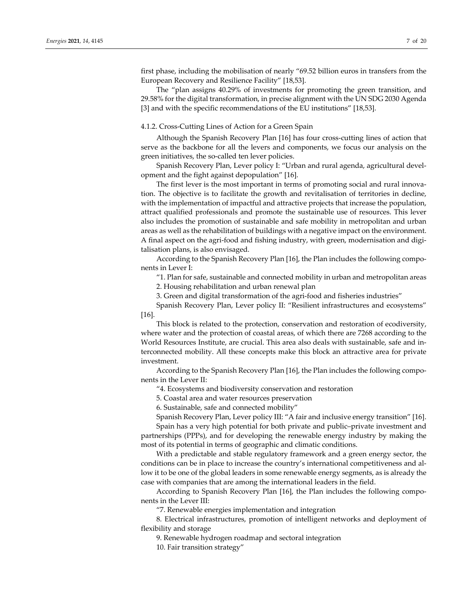first phase, including the mobilisation of nearly "69.52 billion euros in transfers from the European Recovery and Resilience Facility" [18,53].

The "plan assigns 40.29% of investments for promoting the green transition, and 29.58% for the digital transformation, in precise alignment with the UN SDG 2030 Agenda [3] and with the specific recommendations of the EU institutions" [18,53].

# 4.1.2. Cross‐Cutting Lines of Action for a Green Spain

Although the Spanish Recovery Plan [16] has four cross‐cutting lines of action that serve as the backbone for all the levers and components, we focus our analysis on the green initiatives, the so-called ten lever policies.

Spanish Recovery Plan, Lever policy I: "Urban and rural agenda, agricultural devel‐ opment and the fight against depopulation" [16].

The first lever is the most important in terms of promoting social and rural innovation. The objective is to facilitate the growth and revitalisation of territories in decline, with the implementation of impactful and attractive projects that increase the population, attract qualified professionals and promote the sustainable use of resources. This lever also includes the promotion of sustainable and safe mobility in metropolitan and urban areas as well as the rehabilitation of buildings with a negative impact on the environment. A final aspect on the agri‐food and fishing industry, with green, modernisation and digi‐ talisation plans, is also envisaged.

According to the Spanish Recovery Plan [16], the Plan includes the following components in Lever I:

"1. Plan for safe, sustainable and connected mobility in urban and metropolitan areas

2. Housing rehabilitation and urban renewal plan

3. Green and digital transformation of the agri‐food and fisheries industries"

Spanish Recovery Plan, Lever policy II: "Resilient infrastructures and ecosystems" [16].

This block is related to the protection, conservation and restoration of ecodiversity, where water and the protection of coastal areas, of which there are 7268 according to the World Resources Institute, are crucial. This area also deals with sustainable, safe and in‐ terconnected mobility. All these concepts make this block an attractive area for private investment.

According to the Spanish Recovery Plan [16], the Plan includes the following components in the Lever II:

"4. Ecosystems and biodiversity conservation and restoration

5. Coastal area and water resources preservation

6. Sustainable, safe and connected mobility"

Spanish Recovery Plan, Lever policy III: "A fair and inclusive energy transition" [16]. Spain has a very high potential for both private and public–private investment and partnerships (PPPs), and for developing the renewable energy industry by making the

most of its potential in terms of geographic and climatic conditions. With a predictable and stable regulatory framework and a green energy sector, the conditions can be in place to increase the country's international competitiveness and allow it to be one of the global leaders in some renewable energy segments, as is already the case with companies that are among the international leaders in the field.

According to Spanish Recovery Plan [16], the Plan includes the following components in the Lever III:

"7. Renewable energies implementation and integration

8. Electrical infrastructures, promotion of intelligent networks and deployment of flexibility and storage

9. Renewable hydrogen roadmap and sectoral integration

10. Fair transition strategy"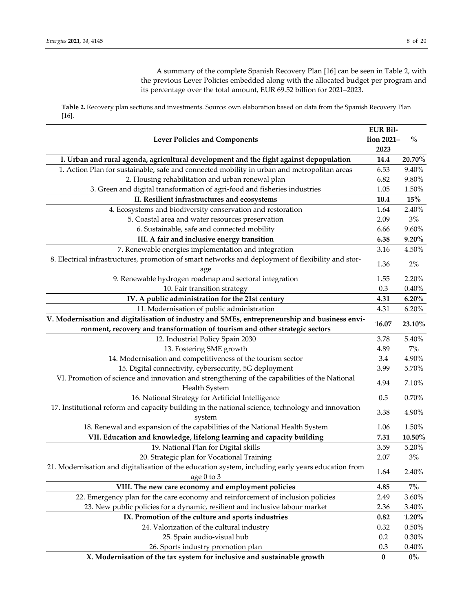A summary of the complete Spanish Recovery Plan [16] can be seen in Table 2, with the previous Lever Policies embedded along with the allocated budget per program and its percentage over the total amount, EUR 69.52 billion for 2021–2023.

**Table 2.** Recovery plan sections and investments. Source: own elaboration based on data from the Spanish Recovery Plan [16].

|                                                                                                    | <b>EUR Bil-</b> |                                    |
|----------------------------------------------------------------------------------------------------|-----------------|------------------------------------|
| <b>Lever Policies and Components</b>                                                               | lion 2021-      | $\mathbf{0}_{\mathbf{0}}^{\prime}$ |
|                                                                                                    | 2023            |                                    |
| I. Urban and rural agenda, agricultural development and the fight against depopulation             | 14.4            | $20.70\%$                          |
| 1. Action Plan for sustainable, safe and connected mobility in urban and metropolitan areas        | 6.53            | 9.40%                              |
| 2. Housing rehabilitation and urban renewal plan                                                   | 6.82            | 9.80%                              |
| 3. Green and digital transformation of agri-food and fisheries industries                          | 1.05            | $1.50\%$                           |
| II. Resilient infrastructures and ecosystems                                                       | 10.4            | $15\%$                             |
| 4. Ecosystems and biodiversity conservation and restoration                                        | 1.64            | 2.40%                              |
| 5. Coastal area and water resources preservation                                                   | 2.09            | 3%                                 |
| 6. Sustainable, safe and connected mobility                                                        | 6.66            | 9.60%                              |
| III. A fair and inclusive energy transition                                                        | 6.38            | $9.20\%$                           |
| 7. Renewable energies implementation and integration                                               | 3.16            | 4.50%                              |
| 8. Electrical infrastructures, promotion of smart networks and deployment of flexibility and stor- | 1.36            | 2%                                 |
| age<br>9. Renewable hydrogen roadmap and sectoral integration                                      | 1.55            | 2.20%                              |
| 10. Fair transition strategy                                                                       | 0.3             | 0.40%                              |
| IV. A public administration for the 21st century                                                   | 4.31            | 6.20%                              |
|                                                                                                    | 4.31            |                                    |
| 11. Modernisation of public administration                                                         |                 | 6.20%                              |
| V. Modernisation and digitalisation of industry and SMEs, entrepreneurship and business envi-      | 16.07           | 23.10%                             |
| ronment, recovery and transformation of tourism and other strategic sectors                        |                 |                                    |
| 12. Industrial Policy Spain 2030                                                                   | 3.78<br>4.89    | 5.40%<br>$7\%$                     |
| 13. Fostering SME growth<br>14. Modernisation and competitiveness of the tourism sector            | 3.4             | 4.90%                              |
|                                                                                                    | 3.99            | 5.70%                              |
| 15. Digital connectivity, cybersecurity, 5G deployment                                             |                 |                                    |
| VI. Promotion of science and innovation and strengthening of the capabilities of the National      | 4.94            | 7.10%                              |
| Health System<br>16. National Strategy for Artificial Intelligence                                 | 0.5             | 0.70%                              |
| 17. Institutional reform and capacity building in the national science, technology and innovation  |                 |                                    |
| system                                                                                             | 3.38            | 4.90%                              |
| 18. Renewal and expansion of the capabilities of the National Health System                        | 1.06            | 1.50%                              |
| VII. Education and knowledge, lifelong learning and capacity building                              | 7.31            | $10.50\%$                          |
| 19. National Plan for Digital skills                                                               | 3.59            | 5.20%                              |
| 20. Strategic plan for Vocational Training                                                         | 2.07            | $3%$                               |
| 21. Modernisation and digitalisation of the education system, including early years education from | 1.64            | 2.40%                              |
| age 0 to 3                                                                                         |                 |                                    |
| VIII. The new care economy and employment policies                                                 | 4.85            | $7\%$                              |
| 22. Emergency plan for the care economy and reinforcement of inclusion policies                    | 2.49            | 3.60%                              |
| 23. New public policies for a dynamic, resilient and inclusive labour market                       | 2.36            | 3.40%                              |
| IX. Promotion of the culture and sports industries                                                 | 0.82            | 1.20%                              |
| 24. Valorization of the cultural industry                                                          | 0.32            | $0.50\%$                           |
| 25. Spain audio-visual hub                                                                         | 0.2             | 0.30%                              |
| 26. Sports industry promotion plan                                                                 | 0.3             | 0.40%                              |
| X. Modernisation of the tax system for inclusive and sustainable growth                            | $\bf{0}$        | $0\%$                              |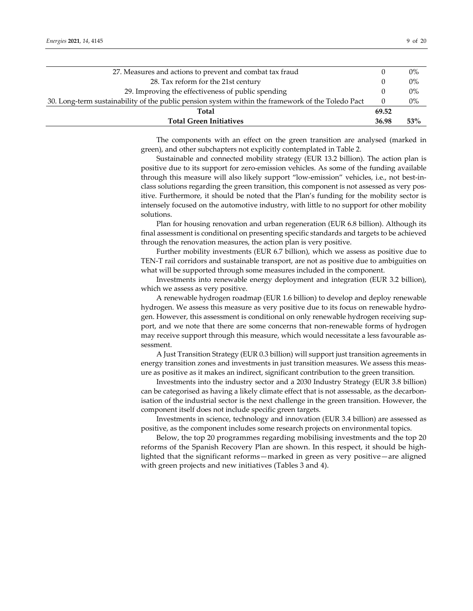| 27. Measures and actions to prevent and combat tax fraud                                          |                  | $0\%$ |
|---------------------------------------------------------------------------------------------------|------------------|-------|
| 28. Tax reform for the 21st century                                                               |                  | $0\%$ |
| 29. Improving the effectiveness of public spending                                                |                  | $0\%$ |
| 30. Long-term sustainability of the public pension system within the framework of the Toledo Pact | $\left( \right)$ | $0\%$ |
| Total                                                                                             | 69.52            |       |
| <b>Total Green Initiatives</b>                                                                    | 36.98            | 53%   |

The components with an effect on the green transition are analysed (marked in green), and other subchapters not explicitly contemplated in Table 2.

Sustainable and connected mobility strategy (EUR 13.2 billion). The action plan is positive due to its support for zero‐emission vehicles. As some of the funding available through this measure will also likely support "low-emission" vehicles, i.e., not best-inclass solutions regarding the green transition, this component is not assessed as very pos‐ itive. Furthermore, it should be noted that the Plan's funding for the mobility sector is intensely focused on the automotive industry, with little to no support for other mobility solutions.

Plan for housing renovation and urban regeneration (EUR 6.8 billion). Although its final assessment is conditional on presenting specific standards and targets to be achieved through the renovation measures, the action plan is very positive.

Further mobility investments (EUR 6.7 billion), which we assess as positive due to TEN‐T rail corridors and sustainable transport, are not as positive due to ambiguities on what will be supported through some measures included in the component.

Investments into renewable energy deployment and integration (EUR 3.2 billion), which we assess as very positive.

A renewable hydrogen roadmap (EUR 1.6 billion) to develop and deploy renewable hydrogen. We assess this measure as very positive due to its focus on renewable hydro‐ gen. However, this assessment is conditional on only renewable hydrogen receiving sup‐ port, and we note that there are some concerns that non-renewable forms of hydrogen may receive support through this measure, which would necessitate a less favourable as‐ sessment.

A Just Transition Strategy (EUR 0.3 billion) will support just transition agreements in energy transition zones and investments in just transition measures. We assess this measure as positive as it makes an indirect, significant contribution to the green transition.

Investments into the industry sector and a 2030 Industry Strategy (EUR 3.8 billion) can be categorised as having a likely climate effect that is not assessable, as the decarbonisation of the industrial sector is the next challenge in the green transition. However, the component itself does not include specific green targets.

Investments in science, technology and innovation (EUR 3.4 billion) are assessed as positive, as the component includes some research projects on environmental topics.

Below, the top 20 programmes regarding mobilising investments and the top 20 reforms of the Spanish Recovery Plan are shown. In this respect, it should be high‐ lighted that the significant reforms—marked in green as very positive—are aligned with green projects and new initiatives (Tables 3 and 4).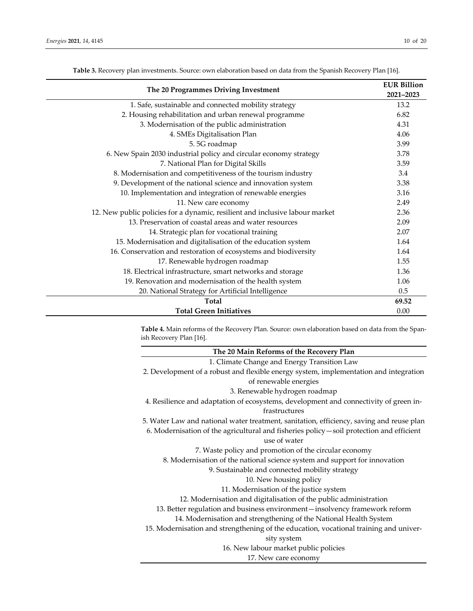÷

| The 20 Programmes Driving Investment                                         |           |  |  |  |  |
|------------------------------------------------------------------------------|-----------|--|--|--|--|
|                                                                              | 2021-2023 |  |  |  |  |
| 1. Safe, sustainable and connected mobility strategy                         | 13.2      |  |  |  |  |
| 2. Housing rehabilitation and urban renewal programme                        | 6.82      |  |  |  |  |
| 3. Modernisation of the public administration                                | 4.31      |  |  |  |  |
| 4. SMEs Digitalisation Plan                                                  | 4.06      |  |  |  |  |
| 5.5G roadmap                                                                 | 3.99      |  |  |  |  |
| 6. New Spain 2030 industrial policy and circular economy strategy            | 3.78      |  |  |  |  |
| 7. National Plan for Digital Skills                                          | 3.59      |  |  |  |  |
| 8. Modernisation and competitiveness of the tourism industry                 | 3.4       |  |  |  |  |
| 9. Development of the national science and innovation system                 | 3.38      |  |  |  |  |
| 10. Implementation and integration of renewable energies                     | 3.16      |  |  |  |  |
| 11. New care economy                                                         | 2.49      |  |  |  |  |
| 12. New public policies for a dynamic, resilient and inclusive labour market | 2.36      |  |  |  |  |
| 13. Preservation of coastal areas and water resources                        | 2.09      |  |  |  |  |
| 14. Strategic plan for vocational training                                   | 2.07      |  |  |  |  |
| 15. Modernisation and digitalisation of the education system                 | 1.64      |  |  |  |  |
| 16. Conservation and restoration of ecosystems and biodiversity              | 1.64      |  |  |  |  |
| 17. Renewable hydrogen roadmap                                               | 1.55      |  |  |  |  |
| 18. Electrical infrastructure, smart networks and storage                    | 1.36      |  |  |  |  |
| 19. Renovation and modernisation of the health system                        | 1.06      |  |  |  |  |
| 20. National Strategy for Artificial Intelligence                            | 0.5       |  |  |  |  |
| <b>Total</b>                                                                 | 69.52     |  |  |  |  |
| <b>Total Green Initiatives</b>                                               | 0.00      |  |  |  |  |

**Table 3.** Recovery plan investments. Source: own elaboration based on data from the Spanish Recovery Plan [16].

**Table 4.** Main reforms of the Recovery Plan. Source: own elaboration based on data from the Span‐ ish Recovery Plan [16].

| The 20 Main Reforms of the Recovery Plan                                                  |
|-------------------------------------------------------------------------------------------|
| 1. Climate Change and Energy Transition Law                                               |
| 2. Development of a robust and flexible energy system, implementation and integration     |
| of renewable energies                                                                     |
| 3. Renewable hydrogen roadmap                                                             |
| 4. Resilience and adaptation of ecosystems, development and connectivity of green in-     |
| frastructures                                                                             |
| 5. Water Law and national water treatment, sanitation, efficiency, saving and reuse plan  |
| 6. Modernisation of the agricultural and fisheries policy – soil protection and efficient |
| use of water                                                                              |
| 7. Waste policy and promotion of the circular economy                                     |
| 8. Modernisation of the national science system and support for innovation                |
| 9. Sustainable and connected mobility strategy                                            |
| 10. New housing policy                                                                    |
| 11. Modernisation of the justice system                                                   |
| 12. Modernisation and digitalisation of the public administration                         |
| 13. Better regulation and business environment-insolvency framework reform                |
| 14. Modernisation and strengthening of the National Health System                         |
| 15. Modernisation and strengthening of the education, vocational training and univer-     |
| sity system                                                                               |
| 16. New labour market public policies                                                     |
| 17. New care economy                                                                      |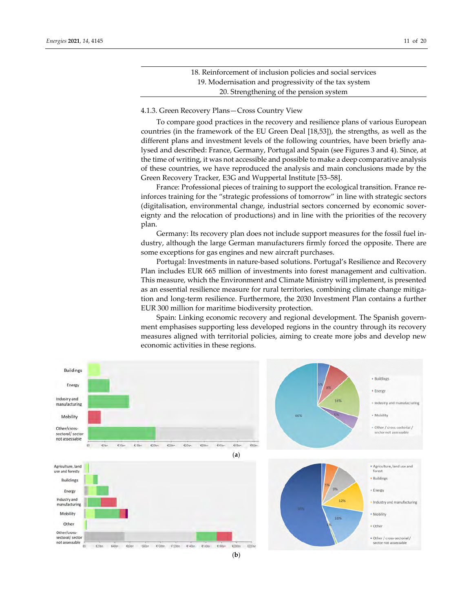| 18. Reinforcement of inclusion policies and social services |
|-------------------------------------------------------------|
| 19. Modernisation and progressivity of the tax system       |
| 20. Strengthening of the pension system                     |

#### 4.1.3. Green Recovery Plans—Cross Country View

To compare good practices in the recovery and resilience plans of various European countries (in the framework of the EU Green Deal [18,53]), the strengths, as well as the different plans and investment levels of the following countries, have been briefly analysed and described: France, Germany, Portugal and Spain (see Figures 3 and 4). Since, at the time of writing, it was not accessible and possible to make a deep comparative analysis of these countries, we have reproduced the analysis and main conclusions made by the Green Recovery Tracker, E3G and Wuppertal Institute [53–58].

France: Professional pieces of training to support the ecological transition. France re‐ inforces training for the "strategic professions of tomorrow" in line with strategic sectors (digitalisation, environmental change, industrial sectors concerned by economic sover‐ eignty and the relocation of productions) and in line with the priorities of the recovery plan.

Germany: Its recovery plan does not include support measures for the fossil fuel in‐ dustry, although the large German manufacturers firmly forced the opposite. There are some exceptions for gas engines and new aircraft purchases.

Portugal: Investments in nature‐based solutions. Portugal's Resilience and Recovery Plan includes EUR 665 million of investments into forest management and cultivation. This measure, which the Environment and Climate Ministry will implement, is presented as an essential resilience measure for rural territories, combining climate change mitigation and long‐term resilience. Furthermore, the 2030 Investment Plan contains a further EUR 300 million for maritime biodiversity protection.

Spain: Linking economic recovery and regional development. The Spanish government emphasises supporting less developed regions in the country through its recovery measures aligned with territorial policies, aiming to create more jobs and develop new economic activities in these regions.

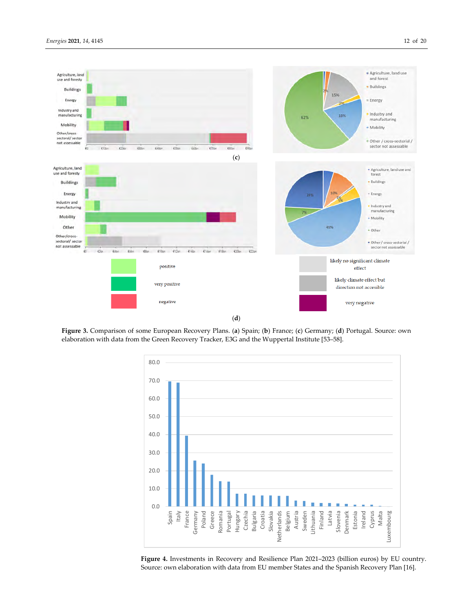

(**d**)

**Figure 3.** Comparison of some European Recovery Plans. (**a**) Spain; (**b**) France; (**c**) Germany; (**d**) Portugal. Source: own elaboration with data from the Green Recovery Tracker, E3G and the Wuppertal Institute [53–58].



**Figure 4.** Investments in Recovery and Resilience Plan 2021–2023 (billion euros) by EU country. Source: own elaboration with data from EU member States and the Spanish Recovery Plan [16].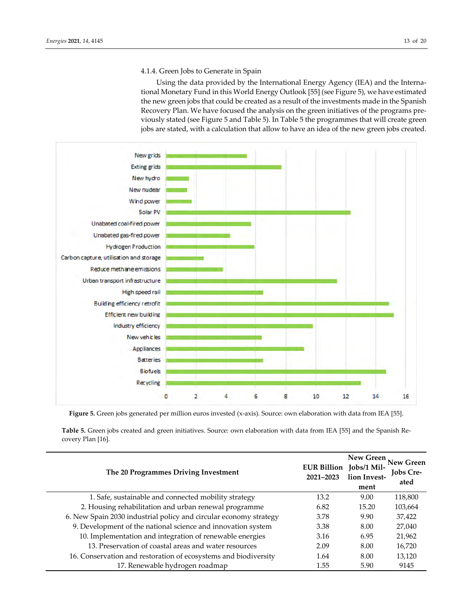# 4.1.4. Green Jobs to Generate in Spain

Using the data provided by the International Energy Agency (IEA) and the Interna‐ tional Monetary Fund in this World Energy Outlook [55] (see Figure 5), we have estimated the new green jobs that could be created as a result of the investments made in the Spanish Recovery Plan. We have focused the analysis on the green initiatives of the programs pre‐ viously stated (see Figure 5 and Table 5). In Table 5 the programmes that will create green jobs are stated, with a calculation that allow to have an idea of the new green jobs created.



**Figure 5.** Green jobs generated per million euros invested (x‐axis). Source: own elaboration with data from IEA [55].

**Table 5.** Green jobs created and green initiatives. Source: own elaboration with data from IEA [55] and the Spanish Re‐ covery Plan [16].

| The 20 Programmes Driving Investment                              | EUR Billion Jobs/1 Mil-<br>2021-2023 | New Green<br>lion Invest-<br>ment | New Green<br><b>Jobs Cre-</b><br>ated |
|-------------------------------------------------------------------|--------------------------------------|-----------------------------------|---------------------------------------|
| 1. Safe, sustainable and connected mobility strategy              | 13.2                                 | 9.00                              | 118,800                               |
| 2. Housing rehabilitation and urban renewal programme             | 6.82                                 | 15.20                             | 103,664                               |
| 6. New Spain 2030 industrial policy and circular economy strategy | 3.78                                 | 9.90                              | 37,422                                |
| 9. Development of the national science and innovation system      | 3.38                                 | 8.00                              | 27,040                                |
| 10. Implementation and integration of renewable energies          | 3.16                                 | 6.95                              | 21,962                                |
| 13. Preservation of coastal areas and water resources             | 2.09                                 | 8.00                              | 16,720                                |
| 16. Conservation and restoration of ecosystems and biodiversity   | 1.64                                 | 8.00                              | 13,120                                |
| 17. Renewable hydrogen roadmap                                    | 1.55                                 | 5.90                              | 9145                                  |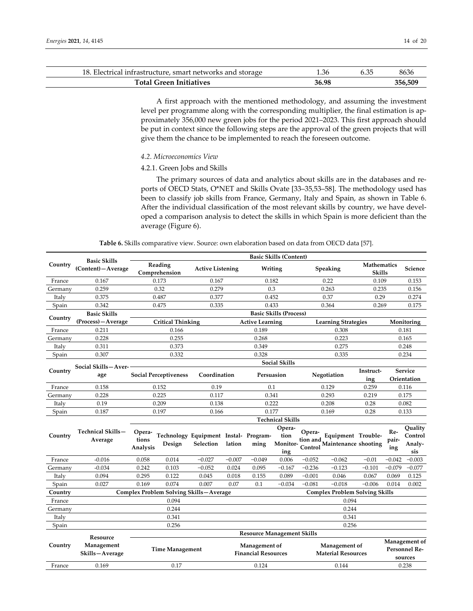| 18. Electrical infrastructure, smart networks and storage | 1.36  | ). O. | 8636    |
|-----------------------------------------------------------|-------|-------|---------|
| <b>Total Green Initiatives</b>                            | 36.98 |       | 356.509 |

A first approach with the mentioned methodology, and assuming the investment level per programme along with the corresponding multiplier, the final estimation is approximately 356,000 new green jobs for the period 2021–2023. This first approach should be put in context since the following steps are the approval of the green projects that will give them the chance to be implemented to reach the foreseen outcome.

#### *4.2. Microeconomics View*

### 4.2.1. Green Jobs and Skills

The primary sources of data and analytics about skills are in the databases and re‐ ports of OECD Stats, O\*NET and Skills Ovate [33–35,53–58]. The methodology used has been to classify job skills from France, Germany, Italy and Spain, as shown in Table 6. After the individual classification of the most relevant skills by country, we have developed a comparison analysis to detect the skills in which Spain is more deficient than the average (Figure 6).

**Table 6.** Skills comparative view. Source: own elaboration based on data from OECD data [57].

|         |                                            | <b>Basic Skills (Content)</b>                                  |                                                 |                                   |                              |                                             |                                   |                   |                                                                                       |                             |                     |                                           |
|---------|--------------------------------------------|----------------------------------------------------------------|-------------------------------------------------|-----------------------------------|------------------------------|---------------------------------------------|-----------------------------------|-------------------|---------------------------------------------------------------------------------------|-----------------------------|---------------------|-------------------------------------------|
| Country | <b>Basic Skills</b><br>(Content) - Average | Reading<br><b>Active Listening</b><br>Writing<br>Comprehension |                                                 | Speaking                          | Mathematics<br><b>Skills</b> |                                             | Science                           |                   |                                                                                       |                             |                     |                                           |
| France  | 0.167                                      | 0.173<br>0.167                                                 |                                                 |                                   | 0.182                        |                                             |                                   | 0.22              |                                                                                       | 0.109                       | 0.153               |                                           |
| Germany | 0.259                                      |                                                                | 0.32                                            | 0.279                             |                              |                                             | 0.3                               |                   | 0.263                                                                                 | 0.235                       |                     | 0.156                                     |
| Italy   | 0.375                                      |                                                                | 0.487                                           | 0.377                             |                              | 0.452                                       |                                   |                   | 0.37                                                                                  | 0.29                        |                     | 0.274                                     |
| Spain   | 0.342                                      |                                                                | 0.475                                           | 0.335                             |                              | 0.433                                       |                                   |                   | 0.364                                                                                 | 0.269                       |                     | 0.175                                     |
| Country | <b>Basic Skills</b>                        |                                                                |                                                 |                                   |                              |                                             | <b>Basic Skills (Process)</b>     |                   |                                                                                       |                             |                     |                                           |
|         | (Process) - Average                        | <b>Critical Thinking</b>                                       |                                                 |                                   |                              | <b>Active Learning</b>                      |                                   |                   | <b>Learning Strategies</b>                                                            |                             |                     | Monitoring                                |
| France  | 0.211                                      |                                                                | 0.166                                           |                                   |                              | 0.189                                       |                                   |                   | 0.308                                                                                 |                             |                     | 0.181                                     |
| Germany | 0.228                                      |                                                                | 0.255                                           |                                   |                              | 0.268                                       |                                   |                   | 0.223                                                                                 |                             |                     | 0.165                                     |
| Italy   | 0.311                                      |                                                                | 0.373                                           |                                   |                              | 0.349                                       |                                   |                   | 0.275                                                                                 |                             |                     | 0.248                                     |
| Spain   | 0.307                                      |                                                                | 0.332                                           |                                   |                              | 0.328                                       |                                   |                   | 0.335                                                                                 |                             |                     | 0.234                                     |
|         | Social Skills-Aver-                        |                                                                |                                                 |                                   |                              |                                             | <b>Social Skills</b>              |                   |                                                                                       |                             |                     |                                           |
| Country | age                                        | <b>Social Perceptiveness</b>                                   |                                                 | Coordination                      |                              | Persuasion                                  |                                   | Negotiation       |                                                                                       | Service<br>Instruct-<br>ing |                     | Orientation                               |
| France  | 0.158                                      |                                                                | 0.152                                           | 0.19                              |                              | 0.1                                         |                                   | 0.129             |                                                                                       | 0.259                       | 0.116               |                                           |
| Germany | 0.228                                      |                                                                | 0.225<br>0.117                                  |                                   |                              | 0.341                                       |                                   | 0.293             |                                                                                       | 0.219                       | 0.175               |                                           |
| Italy   | 0.19                                       |                                                                | 0.209                                           | 0.138                             |                              |                                             | 0.222                             | 0.208             |                                                                                       | 0.28                        |                     | 0.082                                     |
| Spain   | 0.187                                      |                                                                | 0.197                                           | 0.166                             |                              |                                             | 0.177                             |                   | 0.169                                                                                 | 0.28                        |                     | 0.133                                     |
|         |                                            |                                                                |                                                 |                                   |                              |                                             | <b>Technical Skills</b>           |                   |                                                                                       |                             |                     |                                           |
| Country | Technical Skills-<br>Average               | Opera-<br>tions<br>Analysis                                    | Technology Equipment Instal- Program-<br>Design | Selection                         | lation                       | ming                                        | Opera-<br>tion<br>Monitor-<br>ing | Opera-<br>Control | Equipment Trouble-<br>tion and $\lim_{n \to \infty} \frac{1}{n}$ Maintenance shooting |                             | Re-<br>pair-<br>ing | Quality<br>Control<br>Analy-<br>sis       |
| France  | $-0.016$                                   | 0.058                                                          | 0.014                                           | $-0.027$                          | $-0.007$                     | $-0.049$                                    | 0.006                             | $-0.052$          | $-0.062$                                                                              | $-0.01$                     | $-0.042$            | $-0.003$                                  |
| Germany | $-0.034$                                   | 0.242                                                          | 0.103                                           | $-0.052$                          | 0.024                        | 0.095                                       | $-0.167$                          | $-0.236$          | $-0.123$                                                                              | $-0.101$                    | $-0.079$            | $-0.077$                                  |
| Italy   | 0.094                                      | 0.295                                                          | 0.122                                           | 0.045                             | 0.018                        | 0.155                                       | 0.089                             | $-0.001$          | 0.046                                                                                 | 0.067                       | 0.069               | 0.125                                     |
| Spain   | 0.027                                      | 0.169                                                          | 0.074                                           | 0.007                             | 0.07                         | 0.1                                         | $-0.034$                          | $-0.081$          | $-0.018$                                                                              | $-0.006$                    | 0.014               | 0.002                                     |
| Country |                                            |                                                                | Complex Problem Solving Skills-Average          |                                   |                              |                                             |                                   |                   | <b>Complex Problem Solving Skills</b>                                                 |                             |                     |                                           |
| France  |                                            |                                                                | 0.094                                           |                                   |                              |                                             |                                   |                   | 0.094                                                                                 |                             |                     |                                           |
| Germany |                                            | 0.244<br>0.244                                                 |                                                 |                                   |                              |                                             |                                   |                   |                                                                                       |                             |                     |                                           |
| Italy   |                                            | 0.341<br>0.341                                                 |                                                 |                                   |                              |                                             |                                   |                   |                                                                                       |                             |                     |                                           |
| Spain   |                                            |                                                                | 0.256                                           |                                   |                              |                                             |                                   |                   | 0.256                                                                                 |                             |                     |                                           |
|         |                                            |                                                                |                                                 | <b>Resource Management Skills</b> |                              |                                             |                                   |                   |                                                                                       |                             |                     |                                           |
| Country | Resource<br>Management<br>Skills-Average   |                                                                | <b>Time Management</b>                          |                                   |                              | Management of<br><b>Financial Resources</b> |                                   |                   | Management of<br><b>Material Resources</b>                                            |                             |                     | Management of<br>Personnel Re-<br>sources |
| France  | 0.169                                      |                                                                | 0.17<br>0.124                                   |                                   |                              | 0.144                                       |                                   |                   | 0.238                                                                                 |                             |                     |                                           |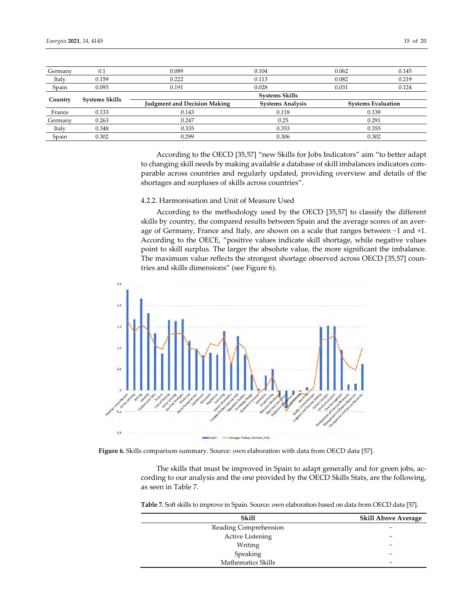| Germany | 0.1            | 0.089                               | 0.104                   | 0.062 | 0.145                     |
|---------|----------------|-------------------------------------|-------------------------|-------|---------------------------|
| Italy   | 0.159          | 0.222                               | 0.113                   | 0.082 | 0.219                     |
| Spain   | 0.093          | 0.191                               | 0.028                   |       | 0.124                     |
|         |                |                                     | <b>Systems Skills</b>   |       |                           |
| Country | Systems Skills | <b>Judgment and Decision Making</b> | <b>Systems Analysis</b> |       | <b>Systems Evaluation</b> |
| France  | 0.133          | 0.143                               | 0.118                   |       | 0.139                     |
| Germany | 0.263          | 0.247                               | 0.25                    |       | 0.291                     |
| Italy   | 0.348          | 0.335                               | 0.353                   | 0.355 |                           |
| Spain   | 0.302          | 0.299                               | 0.306                   |       | 0.302                     |

According to the OECD [35,57] "new Skills for Jobs Indicators" aim "to better adapt to changing skill needs by making available a database of skill imbalances indicators comparable across countries and regularly updated, providing overview and details of the shortages and surpluses of skills across countries".

#### 4.2.2. Harmonisation and Unit of Measure Used

According to the methodology used by the OECD [35,57] to classify the different skills by country, the compared results between Spain and the average scores of an average of Germany, France and Italy, are shown on a scale that ranges between −1 and +1. According to the OECE, "positive values indicate skill shortage, while negative values point to skill surplus. The larger the absolute value, the more significant the imbalance. The maximum value reflects the strongest shortage observed across OECD [35,57] countries and skills dimensions" (see Figure 6).



**Figure 6.** Skills comparison summary. Source: own elaboration with data from OECD data [57].

The skills that must be improved in Spain to adapt generally and for green jobs, ac‐ cording to our analysis and the one provided by the OECD Skills Stats, are the following, as seen in Table 7.

**Table 7.** Soft skills to improve in Spain. Source: own elaboration based on data from OECD data [57].

| Skill                     | <b>Skill Above Average</b> |
|---------------------------|----------------------------|
| Reading Comprehension     |                            |
| <b>Active Listening</b>   |                            |
| Writing                   |                            |
| Speaking                  |                            |
| <b>Mathematics Skills</b> |                            |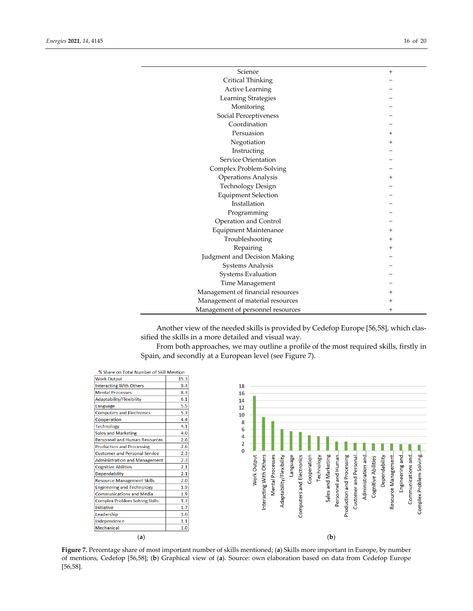| Science                           | $\overline{+}$ |
|-----------------------------------|----------------|
| Critical Thinking                 |                |
| Active Learning                   |                |
| Learning Strategies               |                |
| Monitoring                        |                |
| Social Perceptiveness             |                |
| Coordination                      |                |
| Persuasion                        | +              |
| Negotiation                       | $\,{}^+$       |
| Instructing                       |                |
| Service Orientation               |                |
| Complex Problem-Solving           |                |
| Operations Analysis               | $\overline{+}$ |
| <b>Technology Design</b>          |                |
| <b>Equipment Selection</b>        |                |
| Installation                      |                |
| Programming                       |                |
| Operation and Control             |                |
| Equipment Maintenance             | $\overline{+}$ |
| Troubleshooting                   | +              |
| Repairing                         | +              |
| Judgment and Decision Making      |                |
| Systems Analysis                  |                |
| <b>Systems Evaluation</b>         |                |
| Time Management                   |                |
| Management of financial resources | +              |
| Management of material resources  | +              |
| Management of personnel resources | $\hbox{+}$     |

Another view of the needed skills is provided by Cedefop Europe [56,58], which clas‐ sified the skills in a more detailed and visual way.

From both approaches, we may outline a profile of the most required skills, firstly in Spain, and secondly at a European level (see Figure 7).

| % Share on Total Number of Skill Mention |      |
|------------------------------------------|------|
| <b>Work Output</b>                       | 15.3 |
| <b>Interacting With Others</b>           | 9.4  |
| <b>Mental Processes</b>                  | 8.3  |
| Adaptability/Flexibility                 | 6.1  |
| Language                                 | 5.5  |
| <b>Computers and Electronics</b>         | 5.3  |
| Cooperation                              | 4.4  |
| <b>Technology</b>                        | 4.1  |
| <b>Sales and Marketing</b>               | 4.0  |
| <b>Personnel and Human Resources</b>     | 2.6  |
| <b>Production and Processing</b>         | 2.6  |
| <b>Customer and Personal Service</b>     | 2.3  |
| <b>Administration and Management</b>     | 2.3  |
| <b>Cognitive Abilities</b>               | 2.1  |
| Dependability                            | 2.1  |
| <b>Resource Management Skills</b>        | 2.0  |
| <b>Engineering and Technology</b>        | 1.9  |
| <b>Communications and Media</b>          | 1.9  |
| <b>Complex Problem Solving Skills</b>    | 1.7  |
| <b>Initiative</b>                        | 1.7  |
| Leadership                               | 1.6  |
| Independence                             | 1.1  |
| <b>Mechanical</b>                        | 1.0  |
| (a)                                      |      |



**Figure 7.** Percentage share of most important number of skills mentioned; (**a**) Skills more important in Europe, by number of mentions, Cedefop [56,58]; (**b**) Graphical view of (**a**). Source: own elaboration based on data from Cedefop Europe [56,58].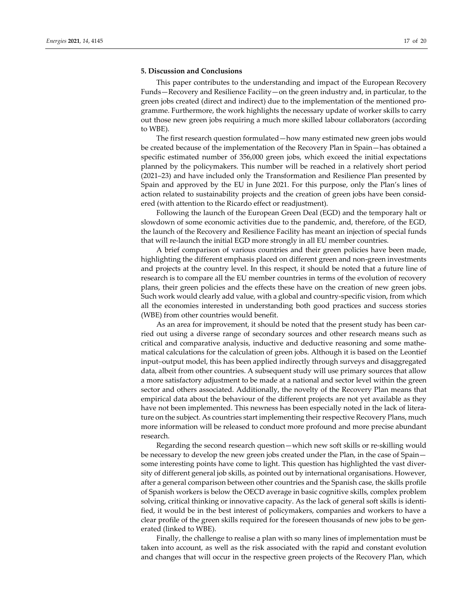#### **5. Discussion and Conclusions**

This paper contributes to the understanding and impact of the European Recovery Funds—Recovery and Resilience Facility—on the green industry and, in particular, to the green jobs created (direct and indirect) due to the implementation of the mentioned pro‐ gramme. Furthermore, the work highlights the necessary update of worker skills to carry out those new green jobs requiring a much more skilled labour collaborators (according to WBE).

The first research question formulated—how many estimated new green jobs would be created because of the implementation of the Recovery Plan in Spain—has obtained a specific estimated number of 356,000 green jobs, which exceed the initial expectations planned by the policymakers. This number will be reached in a relatively short period (2021–23) and have included only the Transformation and Resilience Plan presented by Spain and approved by the EU in June 2021. For this purpose, only the Plan's lines of action related to sustainability projects and the creation of green jobs have been consid‐ ered (with attention to the Ricardo effect or readjustment).

Following the launch of the European Green Deal (EGD) and the temporary halt or slowdown of some economic activities due to the pandemic, and, therefore, of the EGD, the launch of the Recovery and Resilience Facility has meant an injection of special funds that will re‐launch the initial EGD more strongly in all EU member countries.

A brief comparison of various countries and their green policies have been made, highlighting the different emphasis placed on different green and non-green investments and projects at the country level. In this respect, it should be noted that a future line of research is to compare all the EU member countries in terms of the evolution of recovery plans, their green policies and the effects these have on the creation of new green jobs. Such work would clearly add value, with a global and country-specific vision, from which all the economies interested in understanding both good practices and success stories (WBE) from other countries would benefit.

As an area for improvement, it should be noted that the present study has been carried out using a diverse range of secondary sources and other research means such as critical and comparative analysis, inductive and deductive reasoning and some mathe‐ matical calculations for the calculation of green jobs. Although it is based on the Leontief input–output model, this has been applied indirectly through surveys and disaggregated data, albeit from other countries. A subsequent study will use primary sources that allow a more satisfactory adjustment to be made at a national and sector level within the green sector and others associated. Additionally, the novelty of the Recovery Plan means that empirical data about the behaviour of the different projects are not yet available as they have not been implemented. This newness has been especially noted in the lack of literature on the subject. As countries start implementing their respective Recovery Plans, much more information will be released to conduct more profound and more precise abundant research.

Regarding the second research question—which new soft skills or re-skilling would be necessary to develop the new green jobs created under the Plan, in the case of Spain some interesting points have come to light. This question has highlighted the vast diversity of different general job skills, as pointed out by international organisations. However, after a general comparison between other countries and the Spanish case, the skills profile of Spanish workers is below the OECD average in basic cognitive skills, complex problem solving, critical thinking or innovative capacity. As the lack of general soft skills is identified, it would be in the best interest of policymakers, companies and workers to have a clear profile of the green skills required for the foreseen thousands of new jobs to be generated (linked to WBE).

Finally, the challenge to realise a plan with so many lines of implementation must be taken into account, as well as the risk associated with the rapid and constant evolution and changes that will occur in the respective green projects of the Recovery Plan, which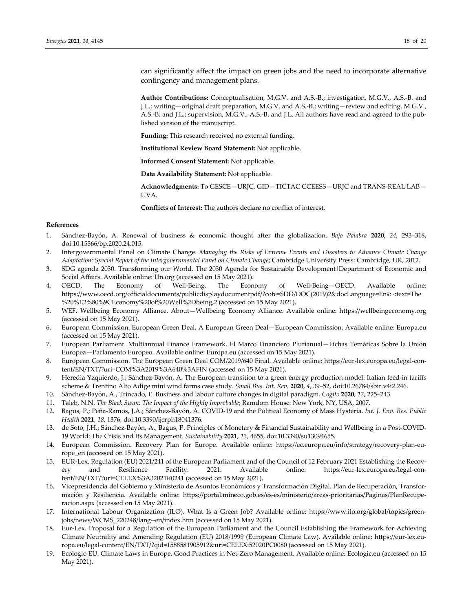can significantly affect the impact on green jobs and the need to incorporate alternative contingency and management plans.

**Author Contributions:** Conceptualisation, M.G.V. and A.S.‐B.; investigation, M.G.V., A.S.‐B. and J.L.; writing—original draft preparation, M.G.V. and A.S.‐B.; writing—review and editing, M.G.V., A.S.‐B. and J.L.; supervision, M.G.V., A.S.‐B. and J.L. All authors have read and agreed to the pub‐ lished version of the manuscript.

**Funding:** This research received no external funding.

**Institutional Review Board Statement:** Not applicable.

**Informed Consent Statement:** Not applicable.

**Data Availability Statement:** Not applicable.

**Acknowledgments:** To GESCE—URJC, GID—TICTAC CCEESS—URJC and TRANS‐REAL LAB— UVA.

**Conflicts of Interest:** The authors declare no conflict of interest.

## **References**

- 1. Sánchez‐Bayón, A. Renewal of business & economic thought after the globalization. *Bajo Palabra* **2020**, *24*, 293–318, doi:10.15366/bp.2020.24.015.
- 2. Intergovernmental Panel on Climate Change. *Managing the Risks of Extreme Events and Disasters to Advance Climate Change Adaptation: Special Report of the Intergovernmental Panel on Climate Change*; Cambridge University Press: Cambridge, UK, 2012.
- 3. SDG agenda 2030. Transforming our World. The 2030 Agenda for Sustainable Development|Department of Economic and Social Affairs. Available online: Un.org (accessed on 15 May 2021).<br>OECD. The Economy of Well-Being. The Econ
- 4. OECD. The Economy of Well‐Being. The Economy of Well‐Being—OECD. Available online: https://www.oecd.org/officialdocuments/publicdisplaydocumentpdf/?cote=SDD/DOC(2019)2&docLanguage=En#:~:text=The %20%E2%80%9CEconomy%20of%20Well%2Dbeing,2 (accessed on 15 May 2021).
- 5. WEF. Wellbeing Economy Alliance. About—Wellbeing Economy Alliance. Available online: https://wellbeingeconomy.org (accessed on 15 May 2021).
- 6. European Commission. European Green Deal. A European Green Deal—European Commission. Available online: Europa.eu (accessed on 15 May 2021).
- 7. European Parliament. Multiannual Finance Framework. El Marco Financiero Plurianual—Fichas Temáticas Sobre la Unión Europea—Parlamento Europeo. Available online: Europa.eu (accessed on 15 May 2021).
- 8. European Commission. The European Green Deal COM/2019/640 Final. Available online: https://eur-lex.europa.eu/legal-content/EN/TXT/?uri=COM%3A2019%3A640%3AFIN (accessed on 15 May 2021).
- 9. Heredia Yzquierdo, J.; Sánchez-Bayón, A. The European transition to a green energy production model: Italian feed-in tariffs scheme & Trentino Alto Adige mini wind farms case study. *Small Bus. Int. Rev.* **2020**, *4*, 39–52, doi:10.26784/sbir.v4i2.246.
- 10. Sánchez‐Bayón, A., Trincado, E. Business and labour culture changes in digital paradigm. *Cogito* **2020**, *12*, 225–243.
- 11. Taleb, N.N. *The Black Swan: The Impact of the Highly Improbable*; Ramdom House: New York, NY, USA, 2007.
- 12. Bagus, P.; Peña‐Ramos, J.A.; Sánchez‐Bayón, A. COVID‐19 and the Political Economy of Mass Hysteria. *Int. J. Env. Res. Public Health* **2021**, *18*, 1376, doi:10.3390/ijerph18041376.
- 13. de Soto, J.H.; Sánchez‐Bayón, A.; Bagus, P. Principles of Monetary & Financial Sustainability and Wellbeing in a Post‐COVID‐ 19 World: The Crisis and Its Management. *Sustainability* **2021**, *13*, 4655, doi:10.3390/su13094655.
- 14. European Commission. Recovery Plan for Europe. Available online: https://ec.europa.eu/info/strategy/recovery‐plan‐eu‐ rope\_en (accessed on 15 May 2021).
- 15. EUR-Lex. Regulation (EU) 2021/241 of the European Parliament and of the Council of 12 February 2021 Establishing the Recovery and Resilience Facility. 2021. Available online: https://eur-lex.europa.eu/legal-content/EN/TXT/?uri=CELEX%3A32021R0241 (accessed on 15 May 2021).
- 16. Vicepresidencia del Gobierno y Ministerio de Asuntos Económicos y Transformación Digital. Plan de Recuperación, Transfor‐ mación y Resiliencia. Available online: https://portal.mineco.gob.es/es‐es/ministerio/areas‐prioritarias/Paginas/PlanRecupe‐ racion.aspx (accessed on 15 May 2021).
- 17. International Labour Organization (ILO). What Is a Green Job? Available online: https://www.ilo.org/global/topics/green‐ jobs/news/WCMS\_220248/lang--en/index.htm (accessed on 15 May 2021).
- 18. Eur‐Lex. Proposal for a Regulation of the European Parliament and the Council Establishing the Framework for Achieving Climate Neutrality and Amending Regulation (EU) 2018/1999 (European Climate Law). Available online: https://eur‐lex.eu‐ ropa.eu/legal‐content/EN/TXT/?qid=1588581905912&uri=CELEX:52020PC0080 (accessed on 15 May 2021).
- 19. Ecologic-EU. Climate Laws in Europe. Good Practices in Net-Zero Management. Available online: Ecologic.eu (accessed on 15 May 2021).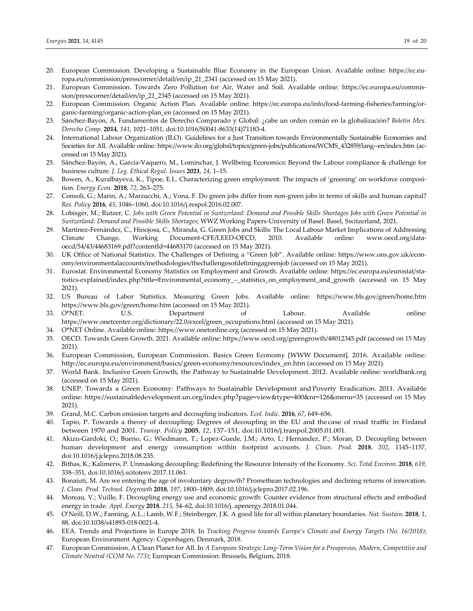- 20. European Commission. Developing a Sustainable Blue Economy in the European Union*.* Available online: https://ec.eu‐ ropa.eu/commission/presscorner/detail/en/ip\_21\_2341 (accessed on 15 May 2021).
- 21. European Commission. Towards Zero Pollution for Air, Water and Soil. Available online: https://ec.europa.eu/commis‐ sion/presscorner/detail/en/ip\_21\_2345 (accessed on 15 May 2021).
- 22. European Commission. Organic Action Plan. Available online: https://ec.europa.eu/info/food-farming-fisheries/farming/organic‐farming/organic‐action‐plan\_en (accessed on 15 May 2021).
- 23. Sánchez‐Bayón, A. Fundamentos de Derecho Comparado y Global: ¿cabe un orden común en la globalización? *Boletín Mex. Derecho Comp.* **2014**, *141*, 1021–1051, doi:10.1016/S0041‐8633(14)71183‐4.
- 24. International Labour Organization (ILO). Guidelines for a Just Transition towards Environmentally Sustainable Economies and Societies for All. Available online: https://www.ilo.org/global/topics/green-jobs/publications/WCMS\_432859/lang--en/index.htm (accessed on 15 May 2021).
- 25. Sánchez‐Bayón, A., García‐Vaquero, M., Lominchar, J. Wellbeing Economics: Beyond the Labour compliance & challenge for business culture. *J. Leg. Ethical Regul. Issues* **2021**, *24*, 1–15.
- 26. Bowen, A., Kuralbayeva, K., Tipoe, E.L. Characterizing green employment: The impacts of 'greening' on workforce composition. *Energy Econ.* **2018**, *72*, 263–275.
- 27. Consoli, G.; Marin, A.; Marzucchi, A.; Vona, F. Do green jobs differ from non-green jobs in terms of skills and human capital? *Res. Policy* **2016**, *45*, 1046–1060, doi:10.1016/j.respol.2016.02.007.
- 28. Lobisger, M.; Rutzer, C. Jobs with Green Potential in Switzerland: Demand and Possible Skills Shortages Jobs with Green Potential in *Switzerland: Demand and Possible Skills Shortages*; WWZ Working Papers‐University of Basel: Basel, Switzerland, 2021.
- 29. Martínez‐Fernández, C., Hinojosa, C., Miranda, G. Green Jobs and Skills: The Local Labour Market Implications of Addressing Climate Change. Working Document‐CFE/LEED‐OECD, 2010. Available online: www.oecd.org/dataoecd/54/43/44683169.pdf?contentId=44683170 (accessed on 15 May 2021).
- 30. UK Office of National Statistics. The Challenges of Defining a "Green Job". Available online: https://www.ons.gov.uk/economy/environmentalaccounts/methodologies/thechallengesofdefiningagreenjob (accessed on 15 May 2021).
- 31. Eurostat. Environmental Economy Statistics on Employment and Growth. Available online: https://ec.europa.eu/eurostat/sta‐ tistics-explained/index.php?title=Environmental\_economy\_-\_statistics\_on\_employment\_and\_growth (accessed on 15 May 2021).
- 32. US Bureau of Labor Statistics. Measuring Green Jobs. Available online: https://www.bls.gov/green/home.htm https://www.bls.gov/green/home.htm (accessed on 15 May 2021).
- 33. O\*NET. U.S. Department of Labour. Available online: https://www.onetcenter.org/dictionary/22.0/excel/green\_occupations.html (accessed on 15 May 2021).
- 34. O\*NET Online. Available online: https://www.onetonline.org (accessed on 15 May 2021).
- 35. OECD. Towards Green Growth. 2021. Available online: https://www.oecd.org/greengrowth/48012345.pdf (accessed on 15 May 2021).
- 36. European Commission, European Commission. Basics Green Economy [WWW Document]. 2016. Available online: http://ec.europa.eu/environment/basics/green‐economy/resources/index\_en.htm (accessed on 15 May 2021).
- 37. World Bank. Inclusive Green Growth, the Pathway to Sustainable Development. 2012. Available online: worldbank.org (accessed on 15 May 2021).
- 38. UNEP. Towards a Green Economy: Pathways to Sustainable Development and Poverty Eradication. 2011. Available online: https://sustainabledevelopment.un.org/index.php?page=view&type=400&nr=126&menu=35 (accessed on 15 May 2021).
- 39. Grand, M.C. Carbon emission targets and decoupling indicators. *Ecol. Indic.* **2016**, *67*, 649–656.
- 40. Tapio, P. Towards a theory of decoupling: Degrees of decoupling in the EU and the case of road traffic in Finland between 1970 and 2001. *Transp. Policy* **2005**, *12*, 137–151, doi:10.1016/j.tranpol.2005.01.001.
- 41. Akizu‐Gardoki, O.; Bueno, G.; Wiedmann, T.; Lopez‐Guede, J.M.; Arto, I.; Hernandez, P.; Moran, D. Decoupling between human development and energy consumption within footprint accounts. *J. Clean. Prod*. **2018**, *202*, 1145–1157, doi:10.1016/j.jclepro.2018.08.235.
- 42. Bithas, K.; Kalimeris, P. Unmasking decoupling: Redefining the Resource Intensity of the Economy. *Sci. Total Environ*. **2018**, *619*, 338–351, doi:10.1016/j.scitotenv.2017.11.061.
- 43. Bonaiuti, M. Are we entering the age of involuntary degrowth? Promethean technologies and declining returns of innovation. *J. Clean. Prod. Technol. Degrowth* **2018**, *197*, 1800–1809, doi:10.1016/j.jclepro.2017.02.196.
- 44. Moreau, V.; Vuille, F. Decoupling energy use and economic growth: Counter evidence from structural effects and embodied energy in trade. *Appl. Energy* **2018**, *215*, 54–62, doi:10.1016/j. apenergy.2018.01.044.
- 45. O'Neill, D.W.; Fanning, A.L.; Lamb, W.F.; Steinberger, J.K. A good life for all within planetary boundaries. *Nat. Sustain.* **2018**, *1*, 88, doi:10.1038/s41893‐018‐0021‐4.
- 46. EEA. Trends and Projections in Europe 2018. In *Tracking Progress towards Europe's Climate and Energy Targets (No. 16/2018)*; European Environment Agency: Copenhagen, Denmark, 2018.
- 47. European Commission. A Clean Planet for All. In *A European Strategic Long‐Term Vision for a Prosperous, Modern, Competitive and Climate Neutral (COM No. 773)*; European Commission: Brussels, Belgium, 2018.